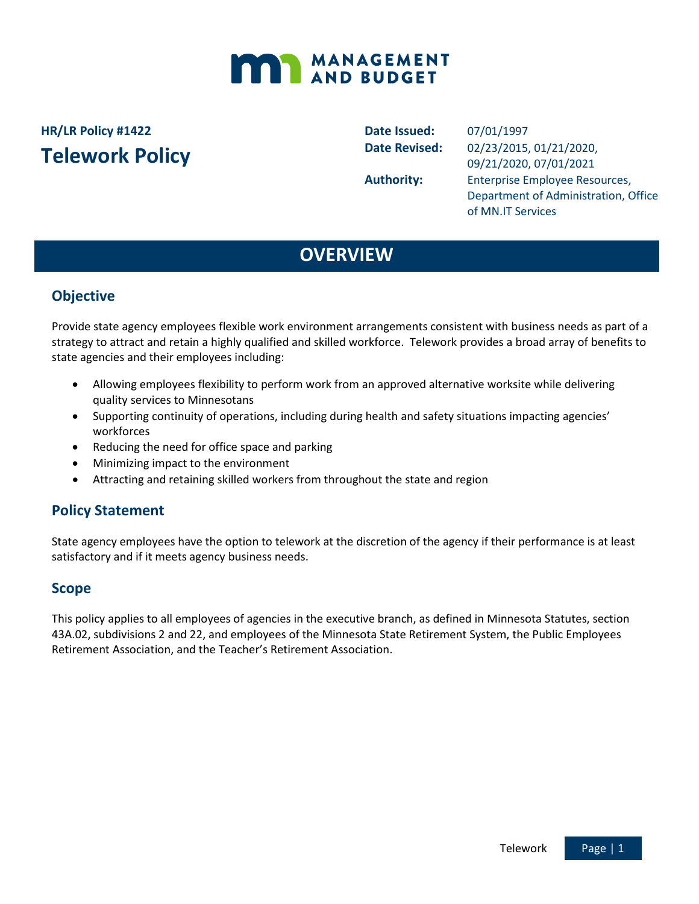

## **HR/LR Policy #1422 Telework Policy**

**Date Issued:** 07/01/1997

**Date Revised:** 02/23/2015, 01/21/2020, 09/21/2020, 07/01/2021 Authority: Enterprise Employee Resources, Department of Administration, Office of MN.IT Services

## **OVERVIEW**

### **Objective**

Provide state agency employees flexible work environment arrangements consistent with business needs as part of a strategy to attract and retain a highly qualified and skilled workforce. Telework provides a broad array of benefits to state agencies and their employees including:

- Allowing employees flexibility to perform work from an approved alternative worksite while delivering quality services to Minnesotans
- Supporting continuity of operations, including during health and safety situations impacting agencies' workforces
- Reducing the need for office space and parking
- Minimizing impact to the environment
- Attracting and retaining skilled workers from throughout the state and region

#### **Policy Statement**

State agency employees have the option to telework at the discretion of the agency if their performance is at least satisfactory and if it meets agency business needs.

#### **Scope**

This policy applies to all employees of agencies in the executive branch, as defined in Minnesota Statutes, section 43A.02, subdivisions 2 and 22, and employees of the Minnesota State Retirement System, the Public Employees Retirement Association, and the Teacher's Retirement Association.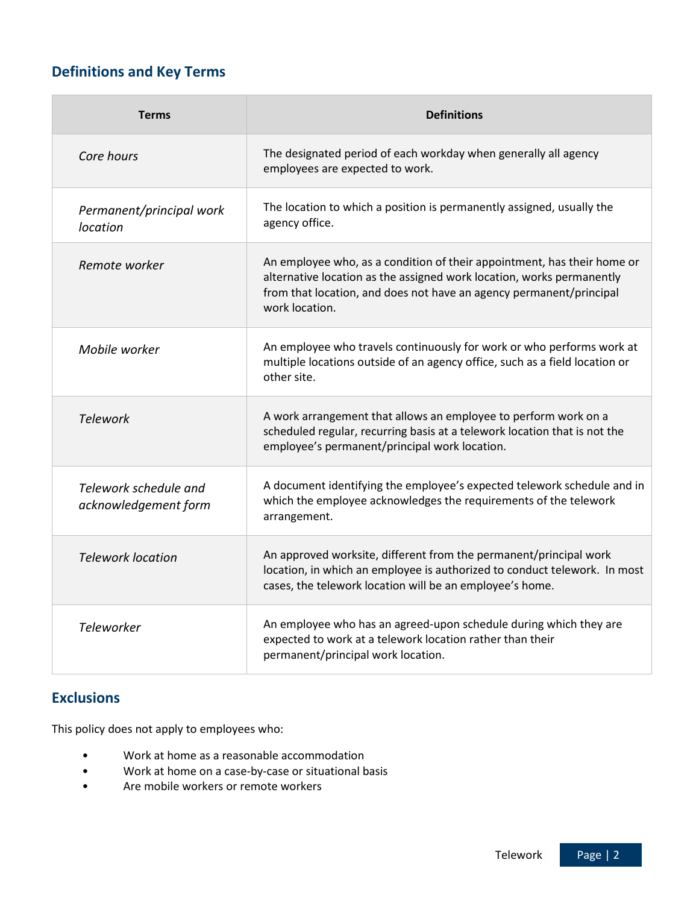## **Definitions and Key Terms**

| <b>Terms</b>                                  | <b>Definitions</b>                                                                                                                                                                                                                        |
|-----------------------------------------------|-------------------------------------------------------------------------------------------------------------------------------------------------------------------------------------------------------------------------------------------|
| Core hours                                    | The designated period of each workday when generally all agency<br>employees are expected to work.                                                                                                                                        |
| Permanent/principal work<br>location          | The location to which a position is permanently assigned, usually the<br>agency office.                                                                                                                                                   |
| Remote worker                                 | An employee who, as a condition of their appointment, has their home or<br>alternative location as the assigned work location, works permanently<br>from that location, and does not have an agency permanent/principal<br>work location. |
| Mobile worker                                 | An employee who travels continuously for work or who performs work at<br>multiple locations outside of an agency office, such as a field location or<br>other site.                                                                       |
| <b>Telework</b>                               | A work arrangement that allows an employee to perform work on a<br>scheduled regular, recurring basis at a telework location that is not the<br>employee's permanent/principal work location.                                             |
| Telework schedule and<br>acknowledgement form | A document identifying the employee's expected telework schedule and in<br>which the employee acknowledges the requirements of the telework<br>arrangement.                                                                               |
| <b>Telework location</b>                      | An approved worksite, different from the permanent/principal work<br>location, in which an employee is authorized to conduct telework. In most<br>cases, the telework location will be an employee's home.                                |
| <b>Teleworker</b>                             | An employee who has an agreed-upon schedule during which they are<br>expected to work at a telework location rather than their<br>permanent/principal work location.                                                                      |

## **Exclusions**

This policy does not apply to employees who:

- Work at home as a reasonable accommodation
- Work at home on a case-by-case or situational basis
- Are mobile workers or remote workers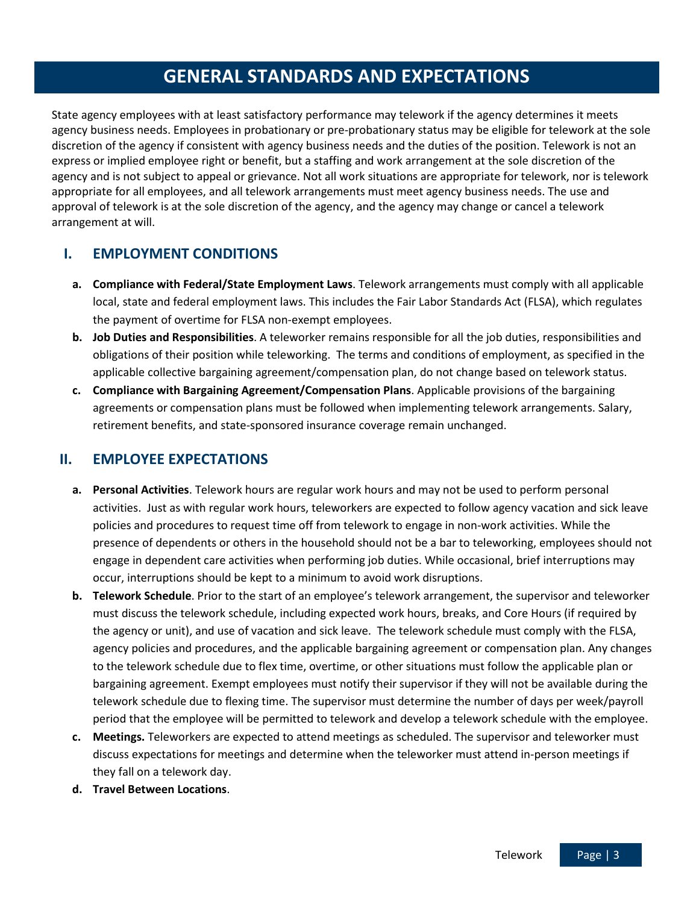## **GENERAL STANDARDS AND EXPECTATIONS**

State agency employees with at least satisfactory performance may telework if the agency determines it meets agency business needs. Employees in probationary or pre-probationary status may be eligible for telework at the sole discretion of the agency if consistent with agency business needs and the duties of the position. Telework is not an express or implied employee right or benefit, but a staffing and work arrangement at the sole discretion of the agency and is not subject to appeal or grievance. Not all work situations are appropriate for telework, nor is telework appropriate for all employees, and all telework arrangements must meet agency business needs. The use and approval of telework is at the sole discretion of the agency, and the agency may change or cancel a telework arrangement at will.

### **I. EMPLOYMENT CONDITIONS**

- **a. Compliance with Federal/State Employment Laws**. Telework arrangements must comply with all applicable local, state and federal employment laws. This includes the Fair Labor Standards Act (FLSA), which regulates the payment of overtime for FLSA non-exempt employees.
- **b. Job Duties and Responsibilities**. A teleworker remains responsible for all the job duties, responsibilities and obligations of their position while teleworking. The terms and conditions of employment, as specified in the applicable collective bargaining agreement/compensation plan, do not change based on telework status.
- **c. Compliance with Bargaining Agreement/Compensation Plans**. Applicable provisions of the bargaining agreements or compensation plans must be followed when implementing telework arrangements. Salary, retirement benefits, and state-sponsored insurance coverage remain unchanged.

### **II. EMPLOYEE EXPECTATIONS**

- **a. Personal Activities**. Telework hours are regular work hours and may not be used to perform personal activities. Just as with regular work hours, teleworkers are expected to follow agency vacation and sick leave policies and procedures to request time off from telework to engage in non-work activities. While the presence of dependents or others in the household should not be a bar to teleworking, employees should not engage in dependent care activities when performing job duties. While occasional, brief interruptions may occur, interruptions should be kept to a minimum to avoid work disruptions.
- **b. Telework Schedule**. Prior to the start of an employee's telework arrangement, the supervisor and teleworker must discuss the telework schedule, including expected work hours, breaks, and Core Hours (if required by the agency or unit), and use of vacation and sick leave. The telework schedule must comply with the FLSA, agency policies and procedures, and the applicable bargaining agreement or compensation plan. Any changes to the telework schedule due to flex time, overtime, or other situations must follow the applicable plan or bargaining agreement. Exempt employees must notify their supervisor if they will not be available during the telework schedule due to flexing time. The supervisor must determine the number of days per week/payroll period that the employee will be permitted to telework and develop a telework schedule with the employee.
- **c. Meetings.** Teleworkers are expected to attend meetings as scheduled. The supervisor and teleworker must discuss expectations for meetings and determine when the teleworker must attend in-person meetings if they fall on a telework day.
- **d. Travel Between Locations**.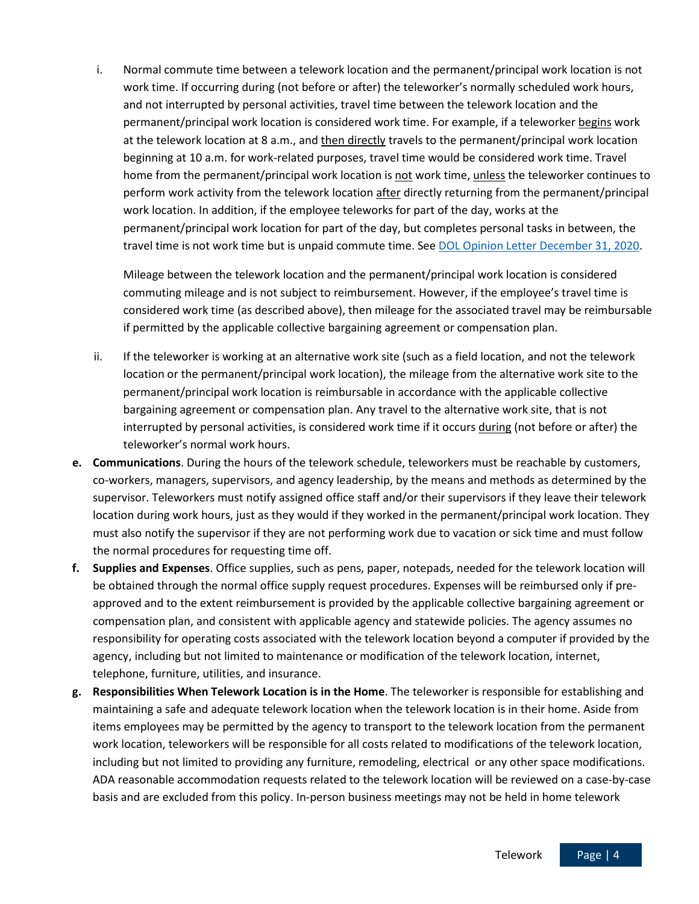i. Normal commute time between a telework location and the permanent/principal work location is not work time. If occurring during (not before or after) the teleworker's normally scheduled work hours, and not interrupted by personal activities, travel time between the telework location and the permanent/principal work location is considered work time. For example, if a teleworker begins work at the telework location at 8 a.m., and then directly travels to the permanent/principal work location beginning at 10 a.m. for work-related purposes, travel time would be considered work time. Travel home from the permanent/principal work location is not work time, unless the teleworker continues to perform work activity from the telework location after directly returning from the permanent/principal work location. In addition, if the employee teleworks for part of the day, works at the permanent/principal work location for part of the day, but completes personal tasks in between, the travel time is not work time but is unpaid commute time. See [DOL Opinion Letter December 31, 2020.](https://www.dol.gov/sites/dolgov/files/WHD/opinion-letters/FLSA/2020_12_31_19_FLSA.pdf)

Mileage between the telework location and the permanent/principal work location is considered commuting mileage and is not subject to reimbursement. However, if the employee's travel time is considered work time (as described above), then mileage for the associated travel may be reimbursable if permitted by the applicable collective bargaining agreement or compensation plan.

- ii. If the teleworker is working at an alternative work site (such as a field location, and not the telework location or the permanent/principal work location), the mileage from the alternative work site to the permanent/principal work location is reimbursable in accordance with the applicable collective bargaining agreement or compensation plan. Any travel to the alternative work site, that is not interrupted by personal activities, is considered work time if it occurs during (not before or after) the teleworker's normal work hours.
- **e. Communications**. During the hours of the telework schedule, teleworkers must be reachable by customers, co-workers, managers, supervisors, and agency leadership, by the means and methods as determined by the supervisor. Teleworkers must notify assigned office staff and/or their supervisors if they leave their telework location during work hours, just as they would if they worked in the permanent/principal work location. They must also notify the supervisor if they are not performing work due to vacation or sick time and must follow the normal procedures for requesting time off.
- **f. Supplies and Expenses**. Office supplies, such as pens, paper, notepads, needed for the telework location will be obtained through the normal office supply request procedures. Expenses will be reimbursed only if preapproved and to the extent reimbursement is provided by the applicable collective bargaining agreement or compensation plan, and consistent with applicable agency and statewide policies. The agency assumes no responsibility for operating costs associated with the telework location beyond a computer if provided by the agency, including but not limited to maintenance or modification of the telework location, internet, telephone, furniture, utilities, and insurance.
- **g. Responsibilities When Telework Location is in the Home**. The teleworker is responsible for establishing and maintaining a safe and adequate telework location when the telework location is in their home. Aside from items employees may be permitted by the agency to transport to the telework location from the permanent work location, teleworkers will be responsible for all costs related to modifications of the telework location, including but not limited to providing any furniture, remodeling, electrical or any other space modifications. ADA reasonable accommodation requests related to the telework location will be reviewed on a case-by-case basis and are excluded from this policy. In-person business meetings may not be held in home telework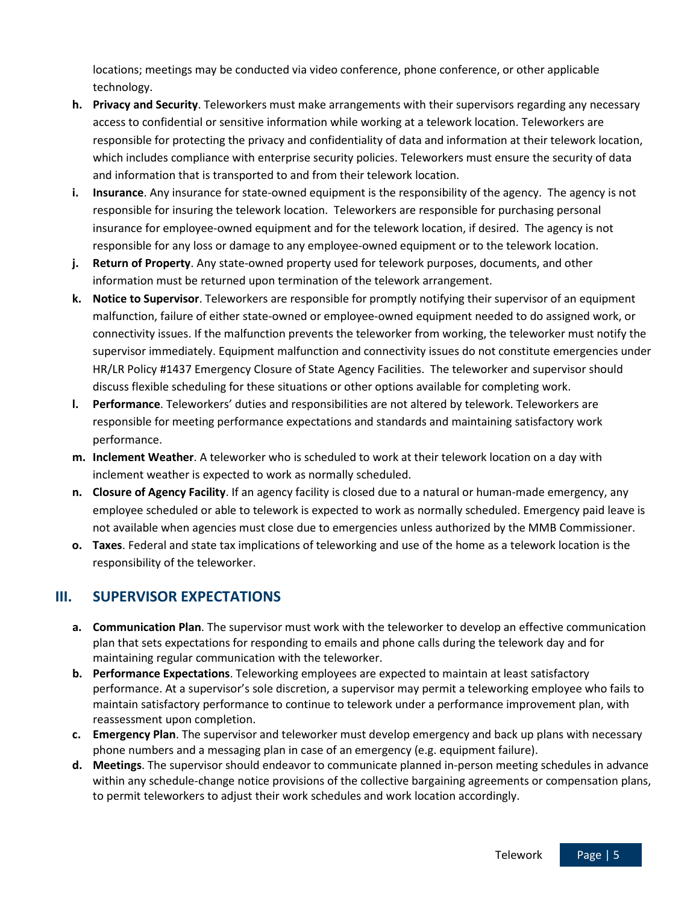locations; meetings may be conducted via video conference, phone conference, or other applicable technology.

- **h. Privacy and Security**. Teleworkers must make arrangements with their supervisors regarding any necessary access to confidential or sensitive information while working at a telework location. Teleworkers are responsible for protecting the privacy and confidentiality of data and information at their telework location, which includes compliance with enterprise security policies. Teleworkers must ensure the security of data and information that is transported to and from their telework location.
- **i. Insurance**. Any insurance for state-owned equipment is the responsibility of the agency. The agency is not responsible for insuring the telework location. Teleworkers are responsible for purchasing personal insurance for employee-owned equipment and for the telework location, if desired. The agency is not responsible for any loss or damage to any employee-owned equipment or to the telework location.
- **j. Return of Property**. Any state-owned property used for telework purposes, documents, and other information must be returned upon termination of the telework arrangement.
- **k. Notice to Supervisor**. Teleworkers are responsible for promptly notifying their supervisor of an equipment malfunction, failure of either state-owned or employee-owned equipment needed to do assigned work, or connectivity issues. If the malfunction prevents the teleworker from working, the teleworker must notify the supervisor immediately. Equipment malfunction and connectivity issues do not constitute emergencies under HR/LR Policy #1437 Emergency Closure of State Agency Facilities. The teleworker and supervisor should discuss flexible scheduling for these situations or other options available for completing work.
- **l. Performance**. Teleworkers' duties and responsibilities are not altered by telework. Teleworkers are responsible for meeting performance expectations and standards and maintaining satisfactory work performance.
- **m. Inclement Weather**. A teleworker who is scheduled to work at their telework location on a day with inclement weather is expected to work as normally scheduled.
- **n. Closure of Agency Facility**. If an agency facility is closed due to a natural or human-made emergency, any employee scheduled or able to telework is expected to work as normally scheduled. Emergency paid leave is not available when agencies must close due to emergencies unless authorized by the MMB Commissioner.
- **o. Taxes**. Federal and state tax implications of teleworking and use of the home as a telework location is the responsibility of the teleworker.

## **III. SUPERVISOR EXPECTATIONS**

- **a. Communication Plan**. The supervisor must work with the teleworker to develop an effective communication plan that sets expectations for responding to emails and phone calls during the telework day and for maintaining regular communication with the teleworker.
- **b. Performance Expectations**. Teleworking employees are expected to maintain at least satisfactory performance. At a supervisor's sole discretion, a supervisor may permit a teleworking employee who fails to maintain satisfactory performance to continue to telework under a performance improvement plan, with reassessment upon completion.
- **c. Emergency Plan**. The supervisor and teleworker must develop emergency and back up plans with necessary phone numbers and a messaging plan in case of an emergency (e.g. equipment failure).
- **d. Meetings**. The supervisor should endeavor to communicate planned in-person meeting schedules in advance within any schedule-change notice provisions of the collective bargaining agreements or compensation plans, to permit teleworkers to adjust their work schedules and work location accordingly.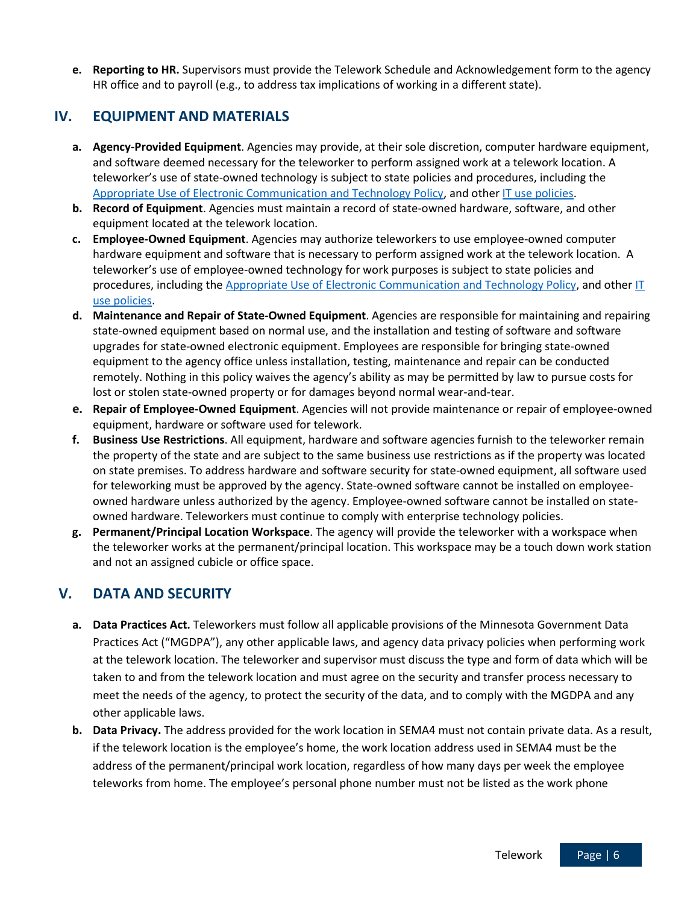**e. Reporting to HR.** Supervisors must provide the Telework Schedule and Acknowledgement form to the agency HR office and to payroll (e.g., to address tax implications of working in a different state).

### **IV. EQUIPMENT AND MATERIALS**

- **a. Agency-Provided Equipment**. Agencies may provide, at their sole discretion, computer hardware equipment, and software deemed necessary for the teleworker to perform assigned work at a telework location. A teleworker's use of state-owned technology is subject to state policies and procedures, including the [Appropriate Use of Electronic Communication and Technology Policy,](https://mn.gov/mmb/assets/1423-appropuseoftechpdf_tcm1059-322068.pdf) and other [IT use policies.](https://mn.gov/mnit/about-mnit/policies/security/#/list/appId/1/filterType//filterValue//page/1/sort//order/)
- **b. Record of Equipment**. Agencies must maintain a record of state-owned hardware, software, and other equipment located at the telework location.
- **c. Employee-Owned Equipment**. Agencies may authorize teleworkers to use employee-owned computer hardware equipment and software that is necessary to perform assigned work at the telework location. A teleworker's use of employee-owned technology for work purposes is subject to state policies and procedures, including the [Appropriate Use of Electronic Communication and Technology Policy,](https://mn.gov/mmb/assets/1423-appropuseoftechpdf_tcm1059-322068.pdf) and other IT [use policies.](https://mn.gov/mnit/about-mnit/policies/security/#/list/appId/1/filterType//filterValue//page/1/sort//order/)
- **d. Maintenance and Repair of State-Owned Equipment**. Agencies are responsible for maintaining and repairing state-owned equipment based on normal use, and the installation and testing of software and software upgrades for state-owned electronic equipment. Employees are responsible for bringing state-owned equipment to the agency office unless installation, testing, maintenance and repair can be conducted remotely. Nothing in this policy waives the agency's ability as may be permitted by law to pursue costs for lost or stolen state-owned property or for damages beyond normal wear-and-tear.
- **e. Repair of Employee-Owned Equipment**. Agencies will not provide maintenance or repair of employee-owned equipment, hardware or software used for telework.
- **f. Business Use Restrictions**. All equipment, hardware and software agencies furnish to the teleworker remain the property of the state and are subject to the same business use restrictions as if the property was located on state premises. To address hardware and software security for state-owned equipment, all software used for teleworking must be approved by the agency. State-owned software cannot be installed on employeeowned hardware unless authorized by the agency. Employee-owned software cannot be installed on stateowned hardware. Teleworkers must continue to comply with enterprise technology policies.
- **g. Permanent/Principal Location Workspace**. The agency will provide the teleworker with a workspace when the teleworker works at the permanent/principal location. This workspace may be a touch down work station and not an assigned cubicle or office space.

## **V. DATA AND SECURITY**

- **a. Data Practices Act.** Teleworkers must follow all applicable provisions of the Minnesota Government Data Practices Act ("MGDPA"), any other applicable laws, and agency data privacy policies when performing work at the telework location. The teleworker and supervisor must discuss the type and form of data which will be taken to and from the telework location and must agree on the security and transfer process necessary to meet the needs of the agency, to protect the security of the data, and to comply with the MGDPA and any other applicable laws.
- **b. Data Privacy.** The address provided for the work location in SEMA4 must not contain private data. As a result, if the telework location is the employee's home, the work location address used in SEMA4 must be the address of the permanent/principal work location, regardless of how many days per week the employee teleworks from home. The employee's personal phone number must not be listed as the work phone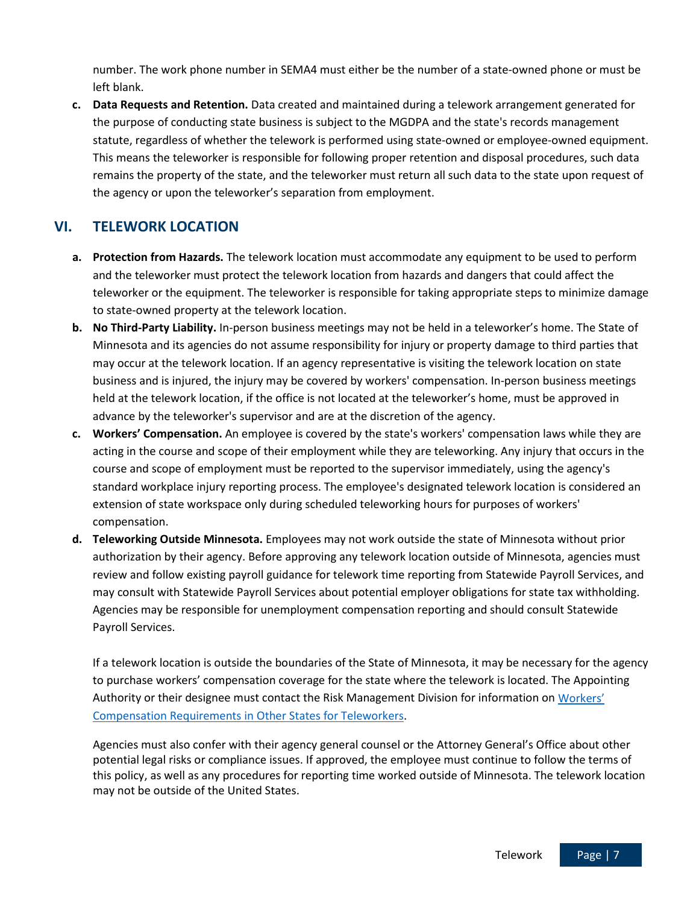number. The work phone number in SEMA4 must either be the number of a state-owned phone or must be left blank.

**c. Data Requests and Retention.** Data created and maintained during a telework arrangement generated for the purpose of conducting state business is subject to the MGDPA and the state's records management statute, regardless of whether the telework is performed using state-owned or employee-owned equipment. This means the teleworker is responsible for following proper retention and disposal procedures, such data remains the property of the state, and the teleworker must return all such data to the state upon request of the agency or upon the teleworker's separation from employment.

## **VI. TELEWORK LOCATION**

- **a. Protection from Hazards.** The telework location must accommodate any equipment to be used to perform and the teleworker must protect the telework location from hazards and dangers that could affect the teleworker or the equipment. The teleworker is responsible for taking appropriate steps to minimize damage to state-owned property at the telework location.
- **b. No Third-Party Liability.** In-person business meetings may not be held in a teleworker's home. The State of Minnesota and its agencies do not assume responsibility for injury or property damage to third parties that may occur at the telework location. If an agency representative is visiting the telework location on state business and is injured, the injury may be covered by workers' compensation. In-person business meetings held at the telework location, if the office is not located at the teleworker's home, must be approved in advance by the teleworker's supervisor and are at the discretion of the agency.
- **c. Workers' Compensation.** An employee is covered by the state's workers' compensation laws while they are acting in the course and scope of their employment while they are teleworking. Any injury that occurs in the course and scope of employment must be reported to the supervisor immediately, using the agency's standard workplace injury reporting process. The employee's designated telework location is considered an extension of state workspace only during scheduled teleworking hours for purposes of workers' compensation.
- **d. Teleworking Outside Minnesota.** Employees may not work outside the state of Minnesota without prior authorization by their agency. Before approving any telework location outside of Minnesota, agencies must review and follow existing payroll guidance for telework time reporting from Statewide Payroll Services, and may consult with Statewide Payroll Services about potential employer obligations for state tax withholding. Agencies may be responsible for unemployment compensation reporting and should consult Statewide Payroll Services.

If a telework location is outside the boundaries of the State of Minnesota, it may be necessary for the agency to purchase workers' compensation coverage for the state where the telework is located. The Appointing Authority or their designee must contact the Risk Management Division for information on [Workers'](https://mn.gov/admin/government/risk/workers-comp/)  [Compensation Requirements in Other States for Teleworkers.](https://mn.gov/admin/government/risk/workers-comp/)

Agencies must also confer with their agency general counsel or the Attorney General's Office about other potential legal risks or compliance issues. If approved, the employee must continue to follow the terms of this policy, as well as any procedures for reporting time worked outside of Minnesota. The telework location may not be outside of the United States.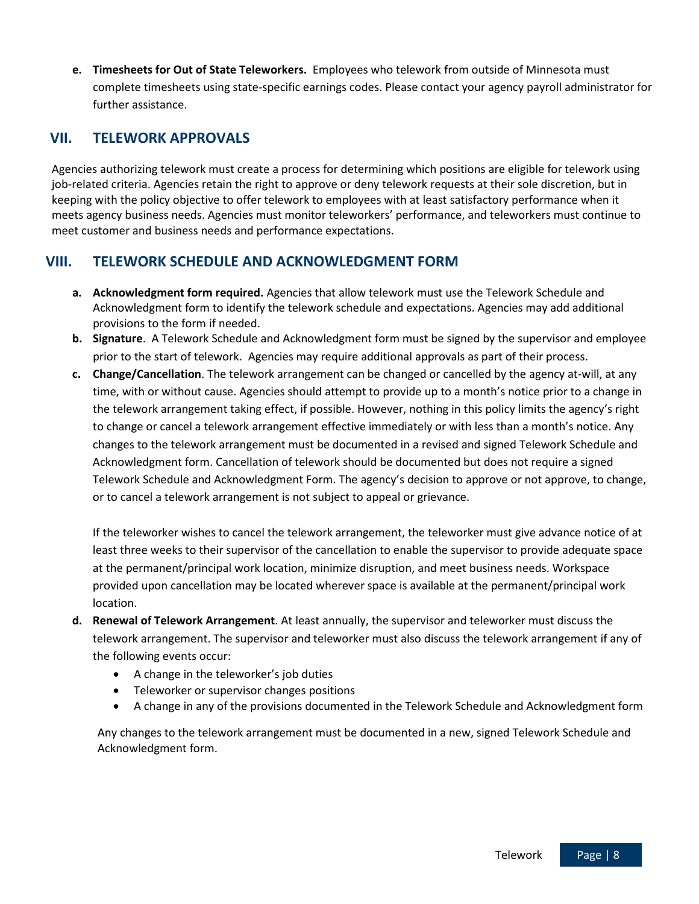**e. Timesheets for Out of State Teleworkers.** Employees who telework from outside of Minnesota must complete timesheets using state-specific earnings codes. Please contact your agency payroll administrator for further assistance.

### **VII. TELEWORK APPROVALS**

Agencies authorizing telework must create a process for determining which positions are eligible for telework using job-related criteria. Agencies retain the right to approve or deny telework requests at their sole discretion, but in keeping with the policy objective to offer telework to employees with at least satisfactory performance when it meets agency business needs. Agencies must monitor teleworkers' performance, and teleworkers must continue to meet customer and business needs and performance expectations.

## **VIII. TELEWORK SCHEDULE AND ACKNOWLEDGMENT FORM**

- **a. Acknowledgment form required.** Agencies that allow telework must use the Telework Schedule and Acknowledgment form to identify the telework schedule and expectations. Agencies may add additional provisions to the form if needed.
- **b. Signature**. A Telework Schedule and Acknowledgment form must be signed by the supervisor and employee prior to the start of telework. Agencies may require additional approvals as part of their process.
- **c. Change/Cancellation**. The telework arrangement can be changed or cancelled by the agency at-will, at any time, with or without cause. Agencies should attempt to provide up to a month's notice prior to a change in the telework arrangement taking effect, if possible. However, nothing in this policy limits the agency's right to change or cancel a telework arrangement effective immediately or with less than a month's notice. Any changes to the telework arrangement must be documented in a revised and signed Telework Schedule and Acknowledgment form. Cancellation of telework should be documented but does not require a signed Telework Schedule and Acknowledgment Form. The agency's decision to approve or not approve, to change, or to cancel a telework arrangement is not subject to appeal or grievance.

If the teleworker wishes to cancel the telework arrangement, the teleworker must give advance notice of at least three weeks to their supervisor of the cancellation to enable the supervisor to provide adequate space at the permanent/principal work location, minimize disruption, and meet business needs. Workspace provided upon cancellation may be located wherever space is available at the permanent/principal work location.

- **d. Renewal of Telework Arrangement**. At least annually, the supervisor and teleworker must discuss the telework arrangement. The supervisor and teleworker must also discuss the telework arrangement if any of the following events occur:
	- A change in the teleworker's job duties
	- Teleworker or supervisor changes positions
	- A change in any of the provisions documented in the Telework Schedule and Acknowledgment form

Any changes to the telework arrangement must be documented in a new, signed Telework Schedule and Acknowledgment form.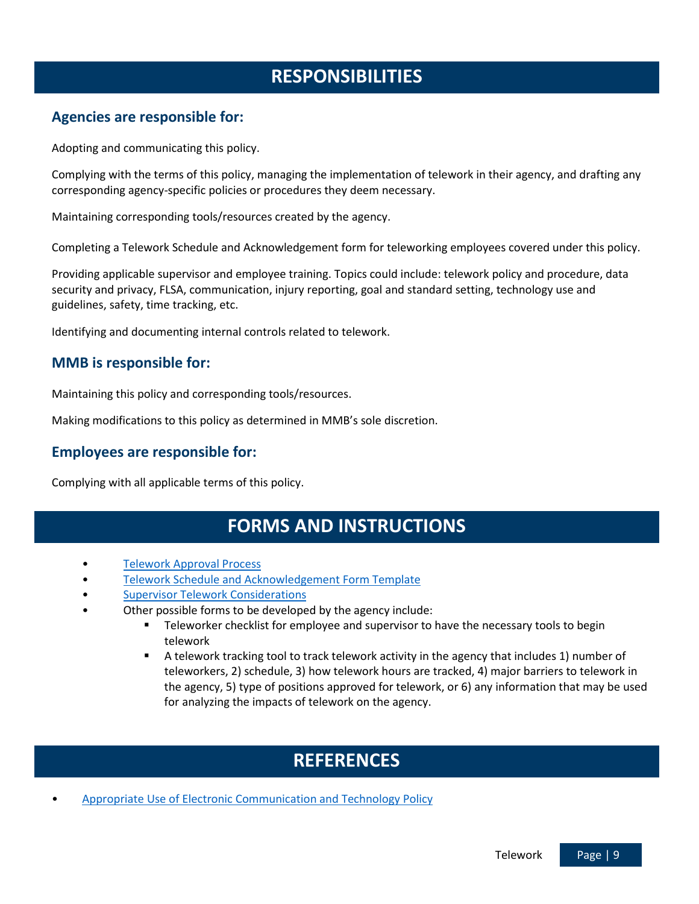## **RESPONSIBILITIES**

### **Agencies are responsible for:**

Adopting and communicating this policy.

Complying with the terms of this policy, managing the implementation of telework in their agency, and drafting any corresponding agency-specific policies or procedures they deem necessary.

Maintaining corresponding tools/resources created by the agency.

Completing a Telework Schedule and Acknowledgement form for teleworking employees covered under this policy.

Providing applicable supervisor and employee training. Topics could include: telework policy and procedure, data security and privacy, FLSA, communication, injury reporting, goal and standard setting, technology use and guidelines, safety, time tracking, etc.

Identifying and documenting internal controls related to telework.

### **MMB is responsible for:**

Maintaining this policy and corresponding tools/resources.

Making modifications to this policy as determined in MMB's sole discretion.

#### **Employees are responsible for:**

Complying with all applicable terms of this policy.

## **FORMS AND INSTRUCTIONS**

- [Telework Approval Process](https://mn.gov/mmb-stat/policies/Telework%20Approval%20Process%20Template%2001.02.2020.docx)
- [Telework Schedule and Acknowledgement Form Template](https://mn.gov/mmb-stat/policies/telework-schedule-and-acknowledgement-form-template.pdf)
- Supervisor Telework [Considerations](https://mn.gov/mmb-stat/policies/Supervisor%20Telework%20Considerations%2012.31.19.docx)
- Other possible forms to be developed by the agency include:
	- **Teleworker checklist for employee and supervisor to have the necessary tools to begin** telework
	- A telework tracking tool to track telework activity in the agency that includes 1) number of teleworkers, 2) schedule, 3) how telework hours are tracked, 4) major barriers to telework in the agency, 5) type of positions approved for telework, or 6) any information that may be used for analyzing the impacts of telework on the agency.

## **REFERENCES**

• [Appropriate Use of Electronic Communication and Technology Policy](https://mn.gov/mmb/assets/1423-appropuseoftechpdf_tcm1059-322068.pdf)